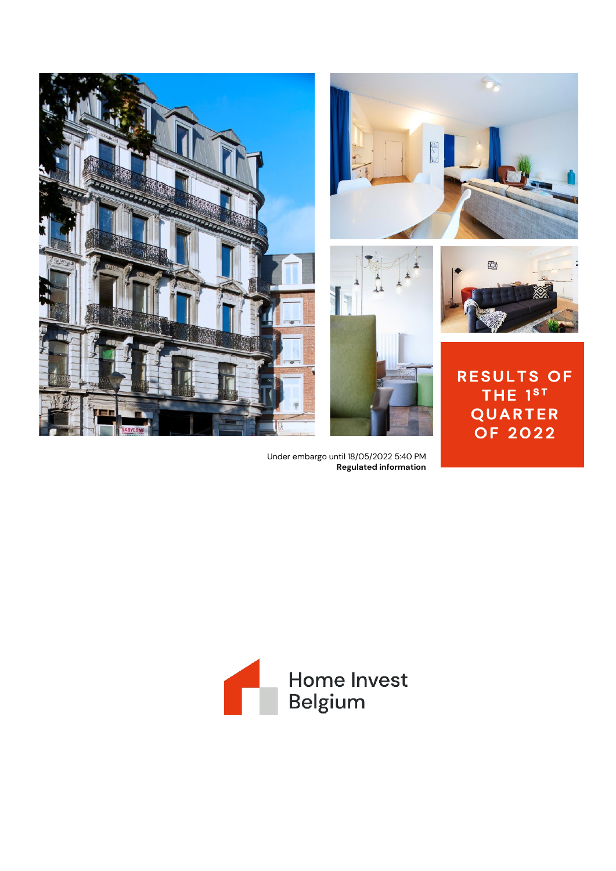

Under embargo until 18/05/2022 5:40 PM **Regulated information**

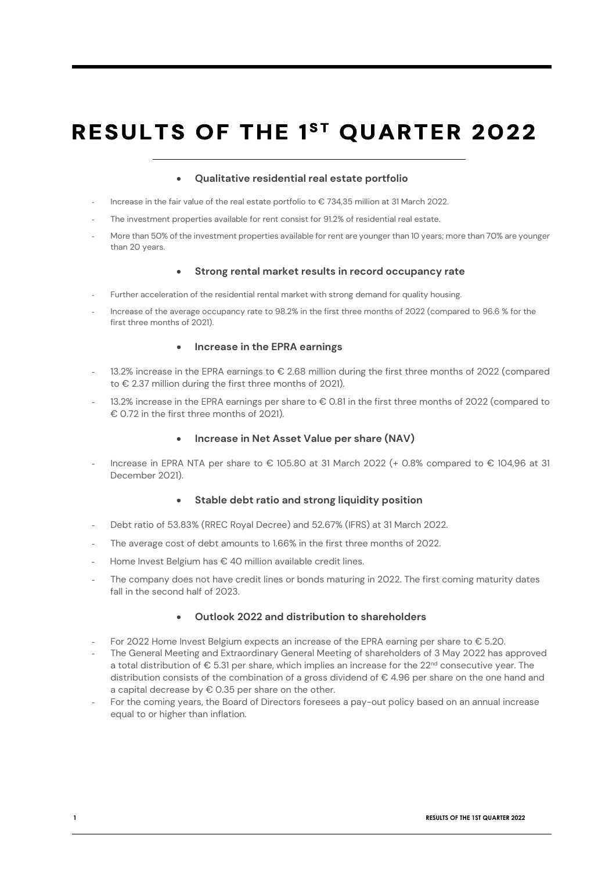# **RESULTS OF THE 1ST QUARTER 2022**

### • **Qualitative residential real estate portfolio**

- Increase in the fair value of the real estate portfolio to € 734,35 million at 31 March 2022.
- The investment properties available for rent consist for 91.2% of residential real estate.
- More than 50% of the investment properties available for rent are younger than 10 years; more than 70% are younger than 20 years.

### • **Strong rental market results in record occupancy rate**

- Further acceleration of the residential rental market with strong demand for quality housing.
- Increase of the average occupancy rate to 98.2% in the first three months of 2022 (compared to 96.6 % for the first three months of 2021).

### • **Increase in the EPRA earnings**

- 13.2% increase in the EPRA earnings to € 2.68 million during the first three months of 2022 (compared to € 2.37 million during the first three months of 2021).
- 13.2% increase in the EPRA earnings per share to € 0.81 in the first three months of 2022 (compared to € 0.72 in the first three months of 2021).

### • **Increase in Net Asset Value per share (NAV)**

Increase in EPRA NTA per share to € 105.80 at 31 March 2022 (+ 0.8% compared to € 104,96 at 31 December 2021).

### • **Stable debt ratio and strong liquidity position**

- Debt ratio of 53.83% (RREC Royal Decree) and 52.67% (IFRS) at 31 March 2022.
- The average cost of debt amounts to 1.66% in the first three months of 2022.
- Home Invest Belgium has € 40 million available credit lines.
- The company does not have credit lines or bonds maturing in 2022. The first coming maturity dates fall in the second half of 2023.

### • **Outlook 2022 and distribution to shareholders**

- For 2022 Home Invest Belgium expects an increase of the EPRA earning per share to  $\epsilon$  5.20.
- The General Meeting and Extraordinary General Meeting of shareholders of 3 May 2022 has approved a total distribution of € 5.31 per share, which implies an increase for the 22<sup>nd</sup> consecutive year. The distribution consists of the combination of a gross dividend of € 4.96 per share on the one hand and a capital decrease by  $\epsilon$  0.35 per share on the other.
- For the coming years, the Board of Directors foresees a pay-out policy based on an annual increase equal to or higher than inflation.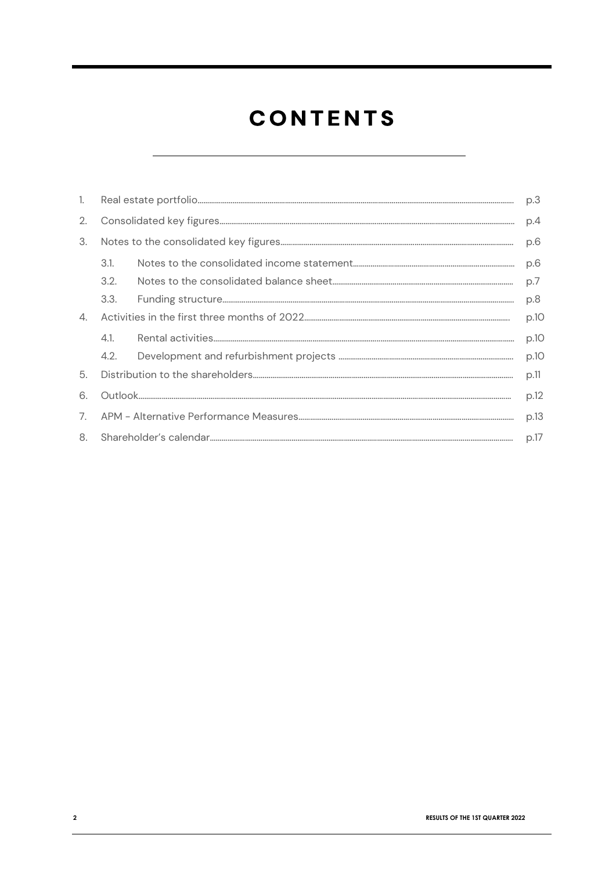# **CONTENTS**

| 1.             |      | p.3  |
|----------------|------|------|
| 2.             |      | p.4  |
| 3.             |      | p.6  |
|                | 3.1. | p.6  |
|                | 3.2. | p.7  |
|                | 3.3. | p.8  |
| 4.             |      | p.10 |
|                | 4.1  | p.10 |
|                |      | p.10 |
| 5.             |      | p.11 |
| 6.             |      | p.12 |
| 7 <sub>1</sub> |      | p.13 |
| 8.             |      | p.17 |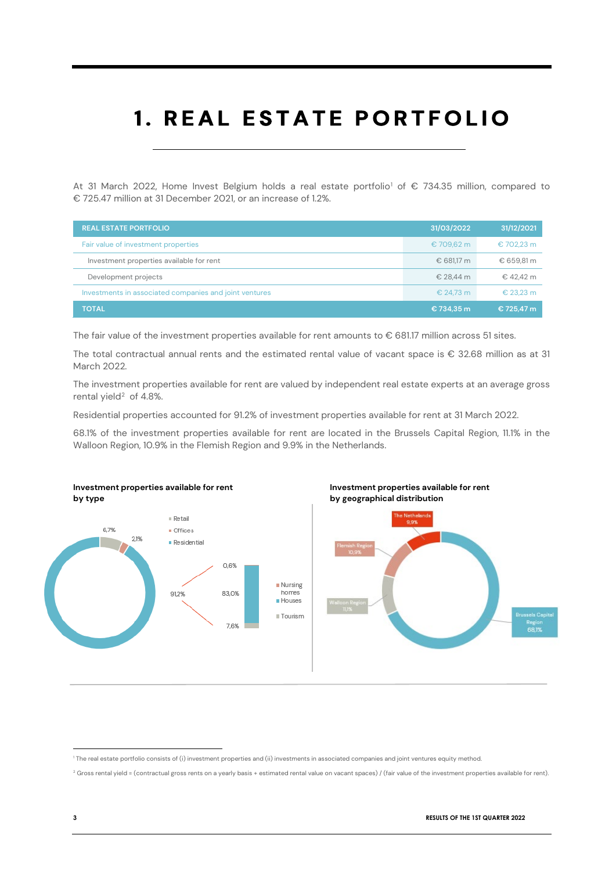# 1. REAL ESTATE PORTFOLIO

At 3[1](#page-3-0) March 2022, Home Invest Belgium holds a real estate portfolio<sup>1</sup> of € 734.35 million, compared to € 725.47 million at 31 December 2021, or an increase of 1.2%.

| <b>REAL ESTATE PORTFOLIO</b>                           | 31/03/2022 | 31/12/2021 |
|--------------------------------------------------------|------------|------------|
| Fair value of investment properties                    | €709,62 m  | € 702,23 m |
| Investment properties available for rent               | € 681.17 m | € 659.81 m |
| Development projects                                   | € 28.44 m  | € 42.42 m  |
| Investments in associated companies and joint ventures | € 24.73 m  | € 23.23 m  |
| <b>TOTAL</b>                                           | €734.35 m  | € 725.47 m |

The fair value of the investment properties available for rent amounts to € 681.17 million across 51 sites.

The total contractual annual rents and the estimated rental value of vacant space is € 32.68 million as at 31 March 2022.

The investment properties available for rent are valued by independent real estate experts at an average gross rental yield<sup>2</sup> of 4.8%.

Residential properties accounted for 91.2% of investment properties available for rent at 31 March 2022.

68.1% of the investment properties available for rent are located in the Brussels Capital Region, 11.1% in the Walloon Region, 10.9% in the Flemish Region and 9.9% in the Netherlands.







<span id="page-3-0"></span><sup>1</sup> The real estate portfolio consists of (i) investment properties and (ii) investments in associated companies and joint ventures equity method.

<span id="page-3-1"></span><sup>&</sup>lt;sup>2</sup> Gross rental yield = (contractual gross rents on a yearly basis + estimated rental value on vacant spaces) / (fair value of the investment properties available for rent).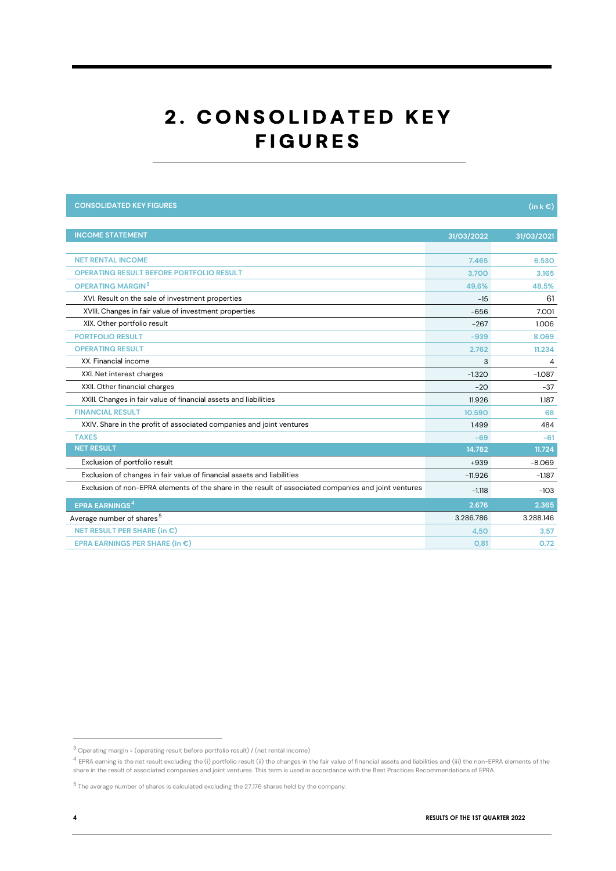### 2. CONSOLIDATED KEY **FIGURES**

| <b>CONSOLIDATED KEY FIGURES</b>                                                                      |            | $(in k \in )$ |
|------------------------------------------------------------------------------------------------------|------------|---------------|
|                                                                                                      |            |               |
| <b>INCOME STATEMENT</b>                                                                              | 31/03/2022 | 31/03/2021    |
|                                                                                                      |            |               |
| <b>NET RENTAL INCOME</b>                                                                             | 7.465      | 6.530         |
| <b>OPERATING RESULT BEFORE PORTFOLIO RESULT</b>                                                      | 3.700      | 3.165         |
| <b>OPERATING MARGIN3</b>                                                                             | 49.6%      | 48.5%         |
| XVI. Result on the sale of investment properties                                                     | $-15$      | 61            |
| XVIII. Changes in fair value of investment properties                                                | $-656$     | 7.001         |
| XIX. Other portfolio result                                                                          | $-267$     | 1.006         |
| <b>PORTFOLIO RESULT</b>                                                                              | $-939$     | 8.069         |
| <b>OPERATING RESULT</b>                                                                              | 2.762      | 11.234        |
| XX. Financial income                                                                                 | 3          | 4             |
| XXI. Net interest charges                                                                            | $-1.320$   | $-1.087$      |
| XXII. Other financial charges                                                                        | $-20$      | $-37$         |
| XXIII. Changes in fair value of financial assets and liabilities                                     | 11.926     | 1.187         |
| <b>FINANCIAL RESULT</b>                                                                              | 10.590     | 68            |
| XXIV. Share in the profit of associated companies and joint ventures                                 | 1.499      | 484           |
| <b>TAXES</b>                                                                                         | $-69$      | $-61$         |
| <b>NET RESULT</b>                                                                                    | 14.782     | 11.724        |
| Exclusion of portfolio result                                                                        | $+939$     | $-8.069$      |
| Exclusion of changes in fair value of financial assets and liabilities                               | $-11.926$  | $-1.187$      |
| Exclusion of non-EPRA elements of the share in the result of associated companies and joint ventures | $-1.118$   | $-103$        |
| <b>EPRA EARNINGS<sup>4</sup></b>                                                                     | 2.676      | 2.365         |
| Average number of shares <sup>5</sup>                                                                | 3.286.786  | 3.288.146     |
| NET RESULT PER SHARE (in $\epsilon$ )                                                                | 4,50       | 3,57          |
| EPRA EARNINGS PER SHARE (in $\epsilon$ )                                                             | O, 81      | 0,72          |

<span id="page-4-0"></span> $^3$  Operating margin = (operating result before portfolio result) / (net rental income)

<span id="page-4-1"></span><sup>&</sup>lt;sup>4</sup> EPRA earning is the net result excluding the (i) portfolio result (ii) the changes in the fair value of financial assets and liabilities and (iii) the non-EPRA elements of the share in the result of associated companies and joint ventures. This term is used in accordance with the Best Practices Recommendations of EPRA.

<span id="page-4-2"></span> $5$  The average number of shares is calculated excluding the 27.176 shares held by the company.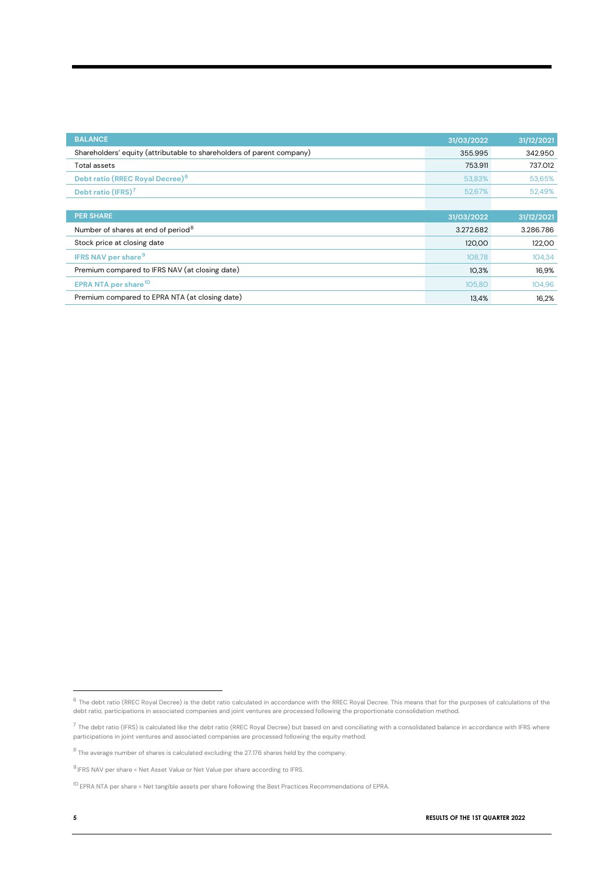| <b>BALANCE</b>                                                        | 31/03/2022 | 31/12/2021 |
|-----------------------------------------------------------------------|------------|------------|
| Shareholders' equity (attributable to shareholders of parent company) | 355.995    | 342.950    |
| <b>Total assets</b>                                                   | 753.911    | 737.012    |
| Debt ratio (RREC Royal Decree) <sup>6</sup>                           | 53,83%     | 53,65%     |
| Debt ratio (IFRS) <sup>7</sup>                                        | 52,67%     | 52,49%     |
|                                                                       |            |            |
| <b>PER SHARE</b>                                                      | 31/03/2022 | 31/12/2021 |
| Number of shares at end of period <sup>8</sup>                        | 3.272.682  | 3.286.786  |
| Stock price at closing date                                           | 120,00     | 122,00     |
| <b>IFRS NAV per share<sup>9</sup></b>                                 | 108,78     | 104,34     |
| Premium compared to IFRS NAV (at closing date)                        | 10,3%      | 16,9%      |
| EPRA NTA per share <sup>10</sup>                                      | 105,80     | 104,96     |
| Premium compared to EPRA NTA (at closing date)                        | 13.4%      | 16.2%      |

<span id="page-5-0"></span> $^6$  The debt ratio (RREC Royal Decree) is the debt ratio calculated in accordance with the RREC Royal Decree. This means that for the purposes of calculations of the debt ratio, participations in associated companies and joint ventures are processed following the proportionate consolidation method.

<span id="page-5-1"></span> $^7$  The debt ratio (IFRS) is calculated like the debt ratio (RREC Royal Decree) but based on and conciliating with a consolidated balance in accordance with IFRS where participations in joint ventures and associated companies are processed following the equity method.

<span id="page-5-2"></span> $8$  The average number of shares is calculated excluding the 27.176 shares held by the company.

<span id="page-5-3"></span> $^9$  IFRS NAV per share = Net Asset Value or Net Value per share according to IFRS.

<span id="page-5-4"></span><sup>10</sup> EPRA NTA per share = Net tangible assets per share following the Best Practices Recommendations of EPRA.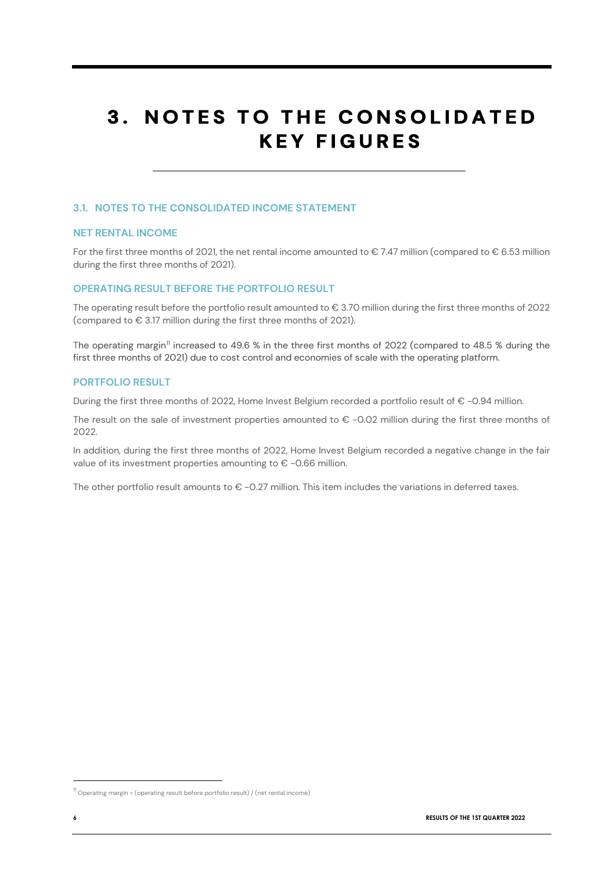### **3. NOTES TO THE CONSOLIDATED KEY FIGURES**

### **3.1. NOTES TO THE CONSOLIDATED INCOME STATEMENT**

### **NET RENTAL INCOME**

For the first three months of 2021, the net rental income amounted to  $\epsilon$  7.47 million (compared to  $\epsilon$  6.53 million during the first three months of 2021).

### **OPERATING RESULT BEFORE THE PORTFOLIO RESULT**

The operating result before the portfolio result amounted to  $\epsilon$  3.70 million during the first three months of 2022 (compared to € 3.17 million during the first three months of 2021).

The operating margin<sup>[11](#page-6-0)</sup> increased to 49.6 % in the three first months of 2022 (compared to 48.5 % during the first three months of 2021) due to cost control and economies of scale with the operating platform.

### **PORTFOLIO RESULT**

During the first three months of 2022, Home Invest Belgium recorded a portfolio result of € -0.94 million.

The result on the sale of investment properties amounted to  $\epsilon$  -0.02 million during the first three months of 2022.

In addition, during the first three months of 2022, Home Invest Belgium recorded a negative change in the fair value of its investment properties amounting to € -0.66 million.

The other portfolio result amounts to  $\epsilon$  -0.27 million. This item includes the variations in deferred taxes.

<span id="page-6-0"></span> $11$  Operating margin = (operating result before portfolio result) / (net rental income)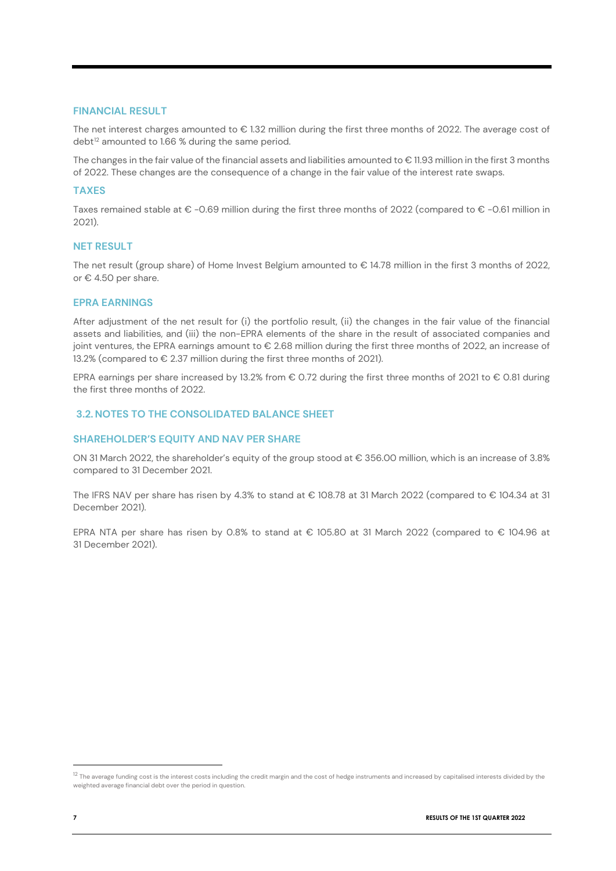### **FINANCIAL RESULT**

The net interest charges amounted to € 1.32 million during the first three months of 2022. The average cost of debt<sup>[12](#page-7-0)</sup> amounted to 1.66 % during the same period.

The changes in the fair value of the financial assets and liabilities amounted to € 11.93 million in the first 3 months of 2022. These changes are the consequence of a change in the fair value of the interest rate swaps.

### **TAXES**

Taxes remained stable at € -0.69 million during the first three months of 2022 (compared to € -0.61 million in 2021).

#### **NET RESULT**

The net result (group share) of Home Invest Belgium amounted to € 14.78 million in the first 3 months of 2022, or € 4.50 per share.

### **EPRA EARNINGS**

After adjustment of the net result for (i) the portfolio result, (ii) the changes in the fair value of the financial assets and liabilities, and (iii) the non-EPRA elements of the share in the result of associated companies and joint ventures, the EPRA earnings amount to € 2.68 million during the first three months of 2022, an increase of 13.2% (compared to € 2.37 million during the first three months of 2021).

EPRA earnings per share increased by 13.2% from € 0.72 during the first three months of 2021 to € 0.81 during the first three months of 2022.

### **3.2. NOTES TO THE CONSOLIDATED BALANCE SHEET**

### **SHAREHOLDER'S EQUITY AND NAV PER SHARE**

ON 31 March 2022, the shareholder's equity of the group stood at € 356.00 million, which is an increase of 3.8% compared to 31 December 2021.

The IFRS NAV per share has risen by 4.3% to stand at € 108.78 at 31 March 2022 (compared to € 104.34 at 31 December 2021).

EPRA NTA per share has risen by 0.8% to stand at € 105.80 at 31 March 2022 (compared to € 104.96 at 31 December 2021).

<span id="page-7-0"></span> $12$  The average funding cost is the interest costs including the credit margin and the cost of hedge instruments and increased by capitalised interests divided by the weighted average financial debt over the period in question.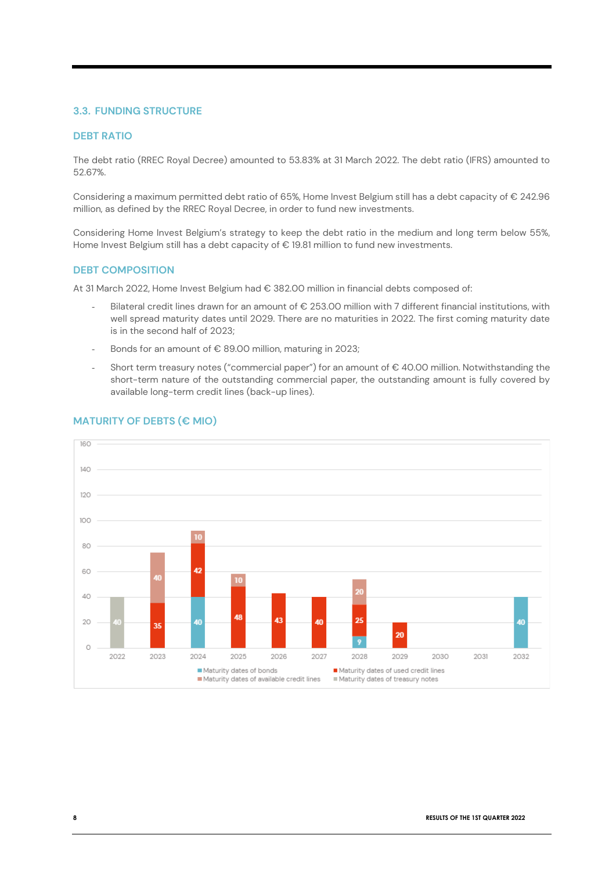### **3.3. FUNDING STRUCTURE**

### **DEBT RATIO**

The debt ratio (RREC Royal Decree) amounted to 53.83% at 31 March 2022. The debt ratio (IFRS) amounted to 52.67%.

Considering a maximum permitted debt ratio of 65%, Home Invest Belgium still has a debt capacity of € 242.96 million, as defined by the RREC Royal Decree, in order to fund new investments.

Considering Home Invest Belgium's strategy to keep the debt ratio in the medium and long term below 55%, Home Invest Belgium still has a debt capacity of € 19.81 million to fund new investments.

### **DEBT COMPOSITION**

At 31 March 2022, Home Invest Belgium had € 382.00 million in financial debts composed of:

- Bilateral credit lines drawn for an amount of  $\epsilon$  253.00 million with 7 different financial institutions, with well spread maturity dates until 2029. There are no maturities in 2022. The first coming maturity date is in the second half of 2023;
- Bonds for an amount of  $\epsilon$  89.00 million, maturing in 2023;
- Short term treasury notes ("commercial paper") for an amount of  $\epsilon$  40.00 million. Notwithstanding the short-term nature of the outstanding commercial paper, the outstanding amount is fully covered by available long-term credit lines (back-up lines).



### **MATURITY OF DEBTS (€ MIO)**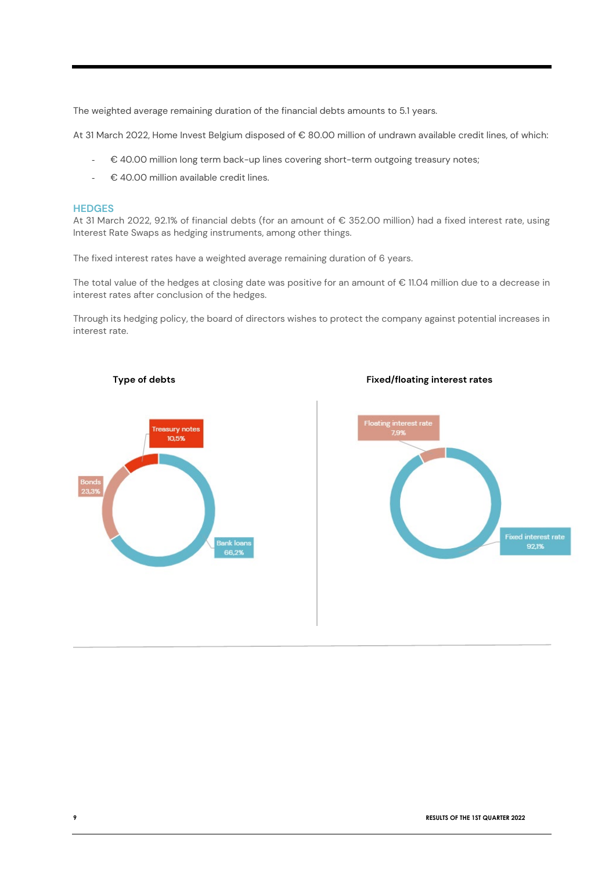The weighted average remaining duration of the financial debts amounts to 5.1 years.

At 31 March 2022, Home Invest Belgium disposed of € 80.00 million of undrawn available credit lines, of which:

- € 40.00 million long term back-up lines covering short-term outgoing treasury notes;
- € 40.00 million available credit lines.

### **HEDGES**

At 31 March 2022, 92.1% of financial debts (for an amount of € 352.00 million) had a fixed interest rate, using Interest Rate Swaps as hedging instruments, among other things.

The fixed interest rates have a weighted average remaining duration of 6 years.

The total value of the hedges at closing date was positive for an amount of € 11.04 million due to a decrease in interest rates after conclusion of the hedges.

Through its hedging policy, the board of directors wishes to protect the company against potential increases in interest rate.





**Type of debts** Fixed/floating interest rates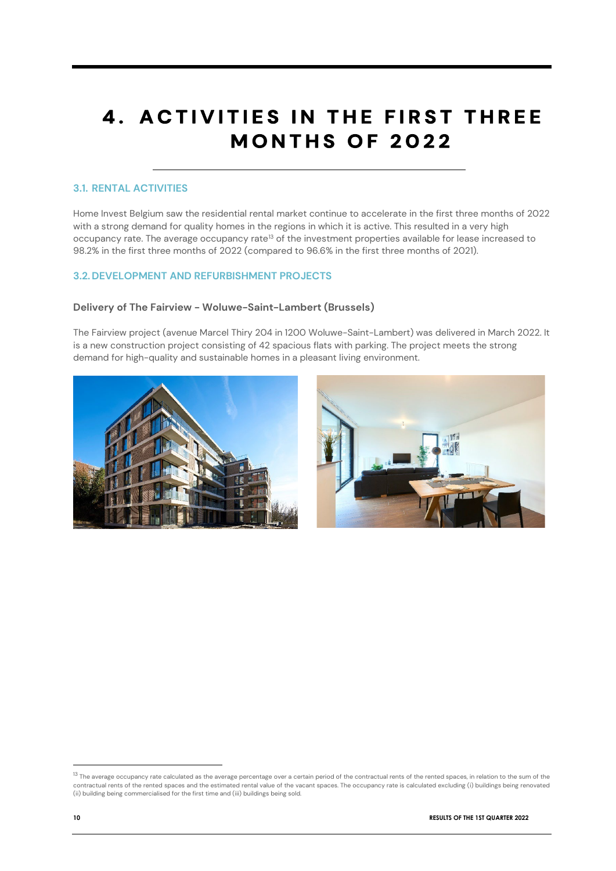### **4. ACTIVITIES IN THE FIRST THREE MONTHS OF 2022**

### **3.1. RENTAL ACTIVITIES**

Home Invest Belgium saw the residential rental market continue to accelerate in the first three months of 2022 with a strong demand for quality homes in the regions in which it is active. This resulted in a very high occupancy rate. The average occupancy rate<sup>[13](#page-10-0)</sup> of the investment properties available for lease increased to 98.2% in the first three months of 2022 (compared to 96.6% in the first three months of 2021).

### **3.2. DEVELOPMENT AND REFURBISHMENT PROJECTS**

### **Delivery of The Fairview - Woluwe-Saint-Lambert (Brussels)**

The Fairview project (avenue Marcel Thiry 204 in 1200 Woluwe-Saint-Lambert) was delivered in March 2022. It is a new construction project consisting of 42 spacious flats with parking. The project meets the strong demand for high-quality and sustainable homes in a pleasant living environment.





<span id="page-10-0"></span><sup>&</sup>lt;sup>13</sup> The average occupancy rate calculated as the average percentage over a certain period of the contractual rents of the rented spaces, in relation to the sum of the contractual rents of the rented spaces and the estimated rental value of the vacant spaces. The occupancy rate is calculated excluding (i) buildings being renovated<br>(ii) building being commercialised for the first time and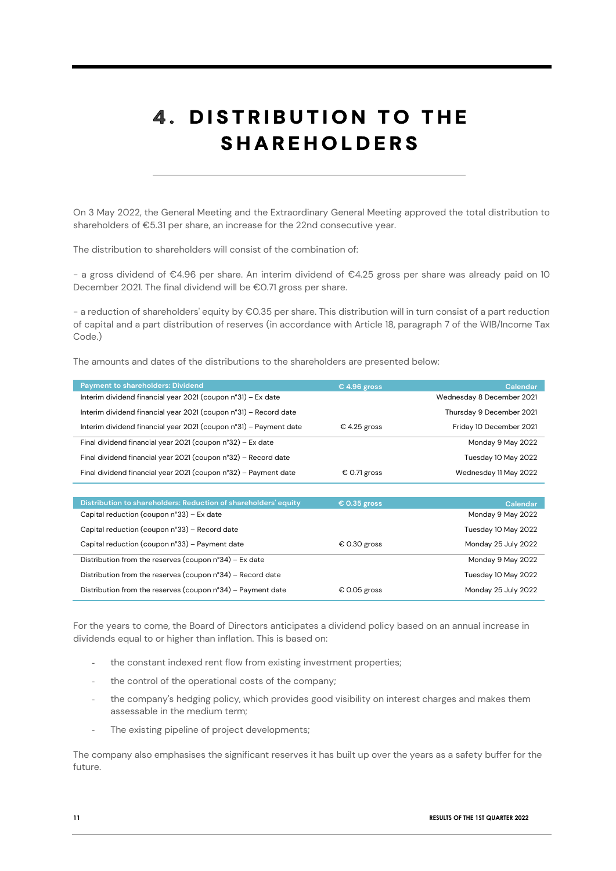## **4. DISTRIBUTION TO THE SHAREHOLDERS**

On 3 May 2022, the General Meeting and the Extraordinary General Meeting approved the total distribution to shareholders of €5.31 per share, an increase for the 22nd consecutive year.

The distribution to shareholders will consist of the combination of:

- a gross dividend of €4.96 per share. An interim dividend of €4.25 gross per share was already paid on 10 December 2021. The final dividend will be €0.71 gross per share.

- a reduction of shareholders' equity by €0.35 per share. This distribution will in turn consist of a part reduction of capital and a part distribution of reserves (in accordance with Article 18, paragraph 7 of the WIB/Income Tax Code.)

The amounts and dates of the distributions to the shareholders are presented below:

| <b>Payment to shareholders: Dividend</b>                          | € 4.96 gross | Calendar                  |
|-------------------------------------------------------------------|--------------|---------------------------|
| Interim dividend financial year 2021 (coupon n°31) – Ex date      |              | Wednesday 8 December 2021 |
| Interim dividend financial year 2021 (coupon n°31) – Record date  |              | Thursday 9 December 2021  |
| Interim dividend financial year 2021 (coupon n°31) – Payment date | € 4.25 gross | Friday 10 December 2021   |
| Final dividend financial year 2021 (coupon n°32) - Ex date        |              | Monday 9 May 2022         |
| Final dividend financial year 2021 (coupon n°32) – Record date    |              | Tuesday 10 May 2022       |
| Final dividend financial year 2021 (coupon n°32) – Payment date   | € 0.71 gross | Wednesday 11 May 2022     |

| Distribution to shareholders: Reduction of shareholders' equity | € 0.35 gross | Calendar            |
|-----------------------------------------------------------------|--------------|---------------------|
| Capital reduction (coupon n°33) - Ex date                       |              | Monday 9 May 2022   |
| Capital reduction (coupon n°33) - Record date                   |              | Tuesday 10 May 2022 |
| Capital reduction (coupon n°33) – Payment date                  | € 0.30 gross | Monday 25 July 2022 |
| Distribution from the reserves (coupon n°34) – Ex date          |              | Monday 9 May 2022   |
| Distribution from the reserves (coupon n°34) – Record date      |              | Tuesday 10 May 2022 |
| Distribution from the reserves (coupon n°34) - Payment date     | € 0.05 gross | Monday 25 July 2022 |

For the years to come, the Board of Directors anticipates a dividend policy based on an annual increase in dividends equal to or higher than inflation. This is based on:

- the constant indexed rent flow from existing investment properties;
- the control of the operational costs of the company;
- the company's hedging policy, which provides good visibility on interest charges and makes them assessable in the medium term;
- The existing pipeline of project developments;

The company also emphasises the significant reserves it has built up over the years as a safety buffer for the future.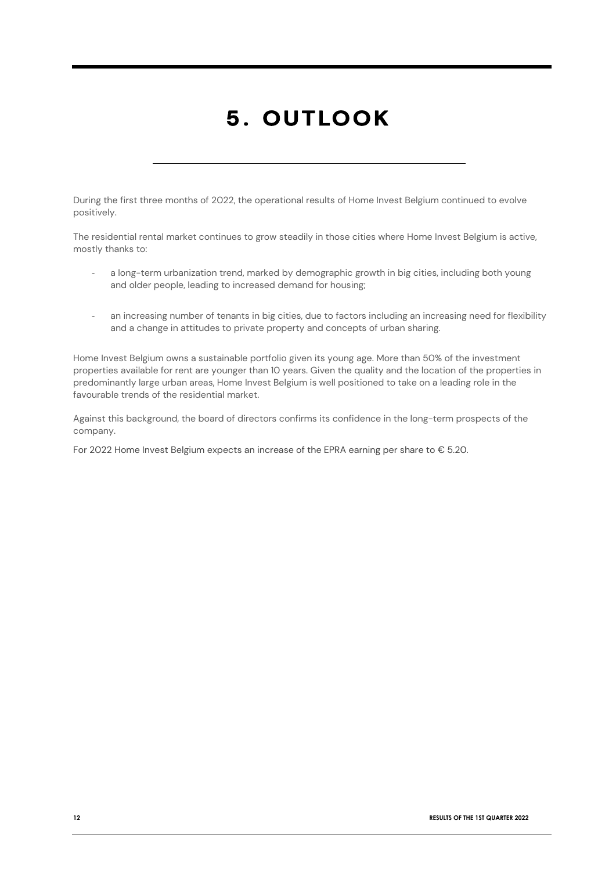# 5. OUTLOOK

During the first three months of 2022, the operational results of Home Invest Belgium continued to evolve positively.

The residential rental market continues to grow steadily in those cities where Home Invest Belgium is active, mostly thanks to:

- a long-term urbanization trend, marked by demographic growth in big cities, including both young and older people, leading to increased demand for housing;
- an increasing number of tenants in big cities, due to factors including an increasing need for flexibility and a change in attitudes to private property and concepts of urban sharing.

Home Invest Belgium owns a sustainable portfolio given its young age. More than 50% of the investment properties available for rent are younger than 10 years. Given the quality and the location of the properties in predominantly large urban areas, Home Invest Belgium is well positioned to take on a leading role in the favourable trends of the residential market.

Against this background, the board of directors confirms its confidence in the long-term prospects of the company.

For 2022 Home Invest Belgium expects an increase of the EPRA earning per share to € 5.20.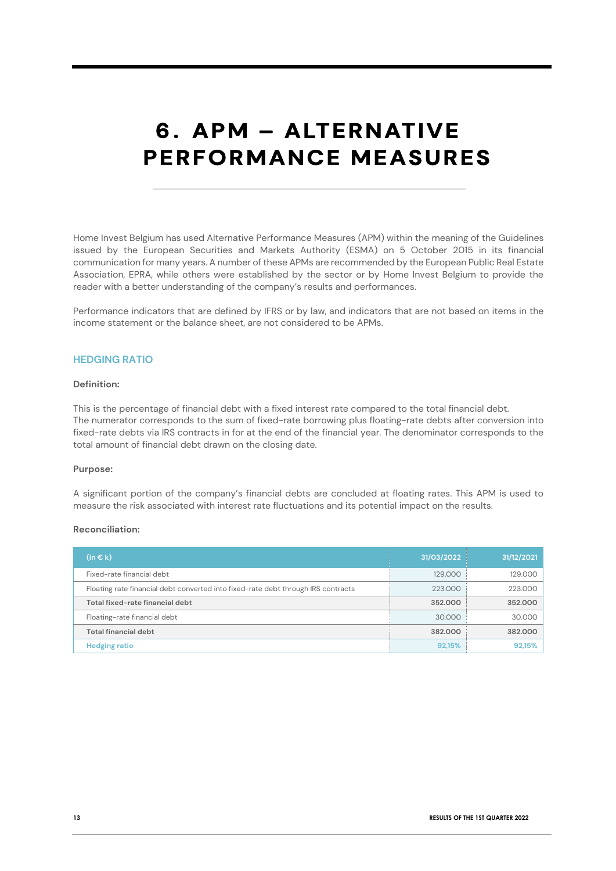# 6. APM - ALTERNATIVE **PERFORMANCE MEASURES**

Home Invest Belgium has used Alternative Performance Measures (APM) within the meaning of the Guidelines issued by the European Securities and Markets Authority (ESMA) on 5 October 2015 in its financial communication for many years. A number of these APMs are recommended by the European Public Real Estate Association, EPRA, while others were established by the sector or by Home Invest Belgium to provide the reader with a better understanding of the company's results and performances.

Performance indicators that are defined by IFRS or by law, and indicators that are not based on items in the income statement or the balance sheet, are not considered to be APMs.

### **HEDGING RATIO**

### **Definition:**

This is the percentage of financial debt with a fixed interest rate compared to the total financial debt. The numerator corresponds to the sum of fixed-rate borrowing plus floating-rate debts after conversion into fixed-rate debts via IRS contracts in for at the end of the financial year. The denominator corresponds to the total amount of financial debt drawn on the closing date.

### **Purpose:**

A significant portion of the company's financial debts are concluded at floating rates. This APM is used to measure the risk associated with interest rate fluctuations and its potential impact on the results.

| $(in \in k)$                                                                      | 31/03/2022 | 31/12/2021 |
|-----------------------------------------------------------------------------------|------------|------------|
| Fixed-rate financial debt                                                         | 129,000    | 129.000    |
| Floating rate financial debt converted into fixed-rate debt through IRS contracts | 223,000    | 223,000    |
| Total fixed-rate financial debt                                                   | 352,000    | 352,000    |
| Floating-rate financial debt                                                      | 30.000     | 30.000     |
| Total financial debt                                                              | 382,000    | 382,000    |
| <b>Hedging ratio</b>                                                              | 92,15%     | 92,15%     |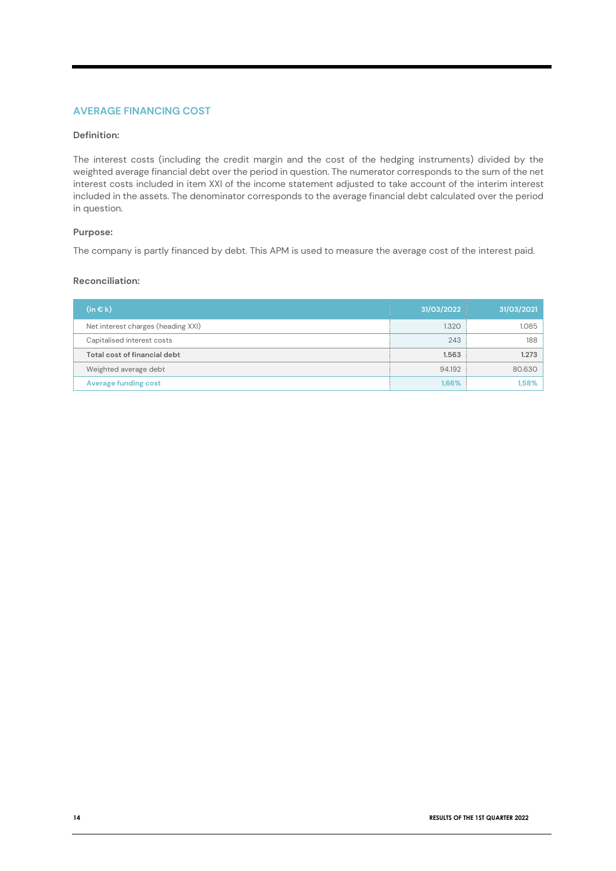### **AVERAGE FINANCING COST**

### **Definition:**

The interest costs (including the credit margin and the cost of the hedging instruments) divided by the weighted average financial debt over the period in question. The numerator corresponds to the sum of the net interest costs included in item XXI of the income statement adjusted to take account of the interim interest included in the assets. The denominator corresponds to the average financial debt calculated over the period in question.

### **Purpose:**

The company is partly financed by debt. This APM is used to measure the average cost of the interest paid.

| $(in \in k)$                       | 31/03/2022 | 31/03/2021 |
|------------------------------------|------------|------------|
| Net interest charges (heading XXI) | 1.320      | 1.085      |
| Capitalised interest costs         | 243        | 188        |
| Total cost of financial debt       | 1.563      | 1.273      |
| Weighted average debt              | 94.192     | 80.630     |
| <b>Average funding cost</b>        | 1,66%      | 1,58%      |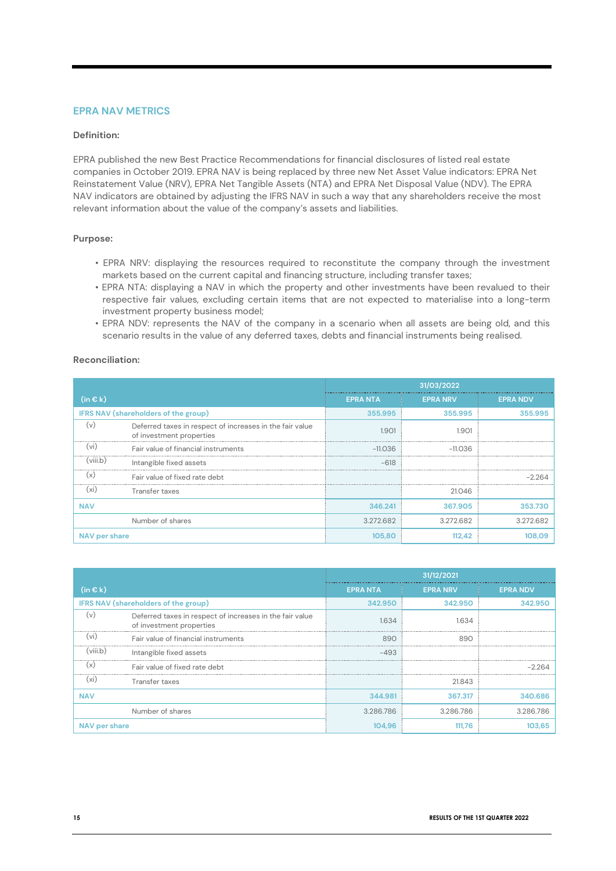### **EPRA NAV METRICS**

### **Definition:**

EPRA published the new Best Practice Recommendations for financial disclosures of listed real estate companies in October 2019. EPRA NAV is being replaced by three new Net Asset Value indicators: EPRA Net Reinstatement Value (NRV), EPRA Net Tangible Assets (NTA) and EPRA Net Disposal Value (NDV). The EPRA NAV indicators are obtained by adjusting the IFRS NAV in such a way that any shareholders receive the most relevant information about the value of the company's assets and liabilities.

### **Purpose:**

- EPRA NRV: displaying the resources required to reconstitute the company through the investment markets based on the current capital and financing structure, including transfer taxes;
- EPRA NTA: displaying a NAV in which the property and other investments have been revalued to their respective fair values, excluding certain items that are not expected to materialise into a long-term investment property business model;
- EPRA NDV: represents the NAV of the company in a scenario when all assets are being old, and this scenario results in the value of any deferred taxes, debts and financial instruments being realised.

|                                      | 31/03/2022                                                                           |                |                 |                 |
|--------------------------------------|--------------------------------------------------------------------------------------|----------------|-----------------|-----------------|
| $(in \in k)$                         |                                                                                      | <b>EPRANTA</b> | <b>EPRA NRV</b> | <b>EPRA NDV</b> |
| IFRS NAV (shareholders of the group) |                                                                                      | 355,995        | 355,995         | 355,995         |
| l V                                  | Deferred taxes in respect of increases in the fair value<br>of investment properties | 1.901          | 1.901           |                 |
| V <sub>1</sub>                       | Fair value of financial instruments                                                  | -11.036        | $-11.036$       |                 |
| (viii.b)                             | Intangible fixed assets                                                              | $-618$         |                 |                 |
| l X                                  | Fair value of fixed rate debt                                                        |                |                 | -2264           |
| lxi                                  | Transfer taxes                                                                       |                | 21.046          |                 |
| <b>NAV</b>                           |                                                                                      | 346.241        | 367,905         | 353,730         |
|                                      | Number of shares                                                                     | 3.272.682      | 3.272.682       | 3.272.682       |
| NAV per share                        |                                                                                      | 105,80         | 112,42          |                 |

|                                      |                                                                                      |                | 31/12/2021      |                 |
|--------------------------------------|--------------------------------------------------------------------------------------|----------------|-----------------|-----------------|
| $(in \in k)$                         |                                                                                      | <b>EPRANTA</b> | <b>EPRA NRV</b> | <b>EPRA NDV</b> |
| IFRS NAV (shareholders of the group) |                                                                                      | 342.950        | 342,950         | 342,950         |
| ( v )                                | Deferred taxes in respect of increases in the fair value<br>of investment properties | 1.634          | 1.634           |                 |
| VI                                   | Fair value of financial instruments                                                  | 890            | 890             |                 |
| (viii.b)                             | Intangible fixed assets                                                              | $-493$         |                 |                 |
| İΧ                                   | Fair value of fixed rate debt                                                        |                |                 |                 |
| (xi                                  | Transfer taxes                                                                       |                | 21.843          |                 |
| <b>NAV</b>                           |                                                                                      | 344.981        | 367.317         | 340.686         |
|                                      | Number of shares                                                                     | 3.286.786      | 3.286.786       | 3.286.786       |
| NAV per share                        |                                                                                      | 104.96         | 111.76          |                 |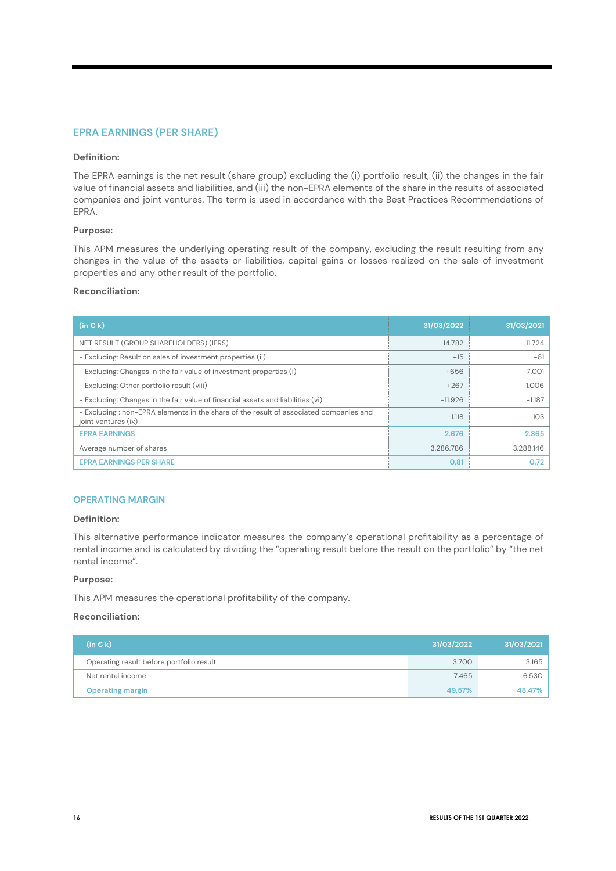### **EPRA EARNINGS (PER SHARE)**

### **Definition:**

The EPRA earnings is the net result (share group) excluding the (i) portfolio result, (ii) the changes in the fair value of financial assets and liabilities, and (iii) the non-EPRA elements of the share in the results of associated companies and joint ventures. The term is used in accordance with the Best Practices Recommendations of EPRA.

### **Purpose:**

This APM measures the underlying operating result of the company, excluding the result resulting from any changes in the value of the assets or liabilities, capital gains or losses realized on the sale of investment properties and any other result of the portfolio.

### **Reconciliation:**

| $(in \in k)$                                                                                                 | 31/03/2022 | 31/03/2021 |
|--------------------------------------------------------------------------------------------------------------|------------|------------|
| NET RESULT (GROUP SHAREHOLDERS) (IFRS)                                                                       | 14.782     | 11.724     |
| - Excluding: Result on sales of investment properties (ii)                                                   | $+15$      | $-61$      |
| - Excluding: Changes in the fair value of investment properties (i)                                          | $+656$     | $-7.001$   |
| - Excluding: Other portfolio result (viii)                                                                   | $+267$     | $-1.006$   |
| - Excluding: Changes in the fair value of financial assets and liabilities (vi)                              | $-11.926$  | $-1.187$   |
| - Excluding: non-EPRA elements in the share of the result of associated companies and<br>joint ventures (ix) | $-1.118$   | $-103$     |
| <b>EPRA EARNINGS</b>                                                                                         | 2.676      | 2.365      |
| Average number of shares                                                                                     | 3.286.786  | 3.288.146  |
| <b>EPRA EARNINGS PER SHARE</b>                                                                               | 0,81       | 0.72       |

### **OPERATING MARGIN**

### **Definition:**

This alternative performance indicator measures the company's operational profitability as a percentage of rental income and is calculated by dividing the "operating result before the result on the portfolio" by "the net rental income".

### **Purpose:**

This APM measures the operational profitability of the company.

| (in € k)                                 | 31/03/2022 | 31/03/2021 |
|------------------------------------------|------------|------------|
| Operating result before portfolio result | 3.700      | 3.165      |
| Net rental income                        | 7.465      | 6.530      |
| <b>Operating margin</b>                  | 49.57%     | 48,47%     |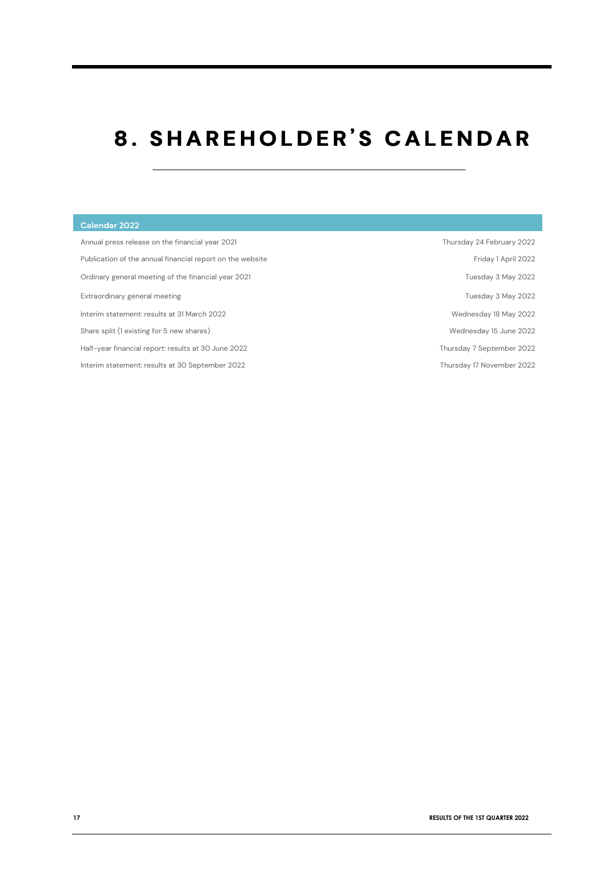# 8. SHAREHOLDER'S CALENDAR

| Calendar 2022                                             |                           |
|-----------------------------------------------------------|---------------------------|
| Annual press release on the financial year 2021           | Thursday 24 February 2022 |
| Publication of the annual financial report on the website | Friday 1 April 2022       |
| Ordinary general meeting of the financial year 2021       | Tuesday 3 May 2022        |
| Extraordinary general meeting                             | Tuesday 3 May 2022        |
| Interim statement: results at 31 March 2022               | Wednesday 18 May 2022     |
| Share split (1 existing for 5 new shares)                 | Wednesday 15 June 2022    |
| Half-year financial report: results at 30 June 2022       | Thursday 7 September 2022 |
| Interim statement: results at 30 September 2022           | Thursday 17 November 2022 |